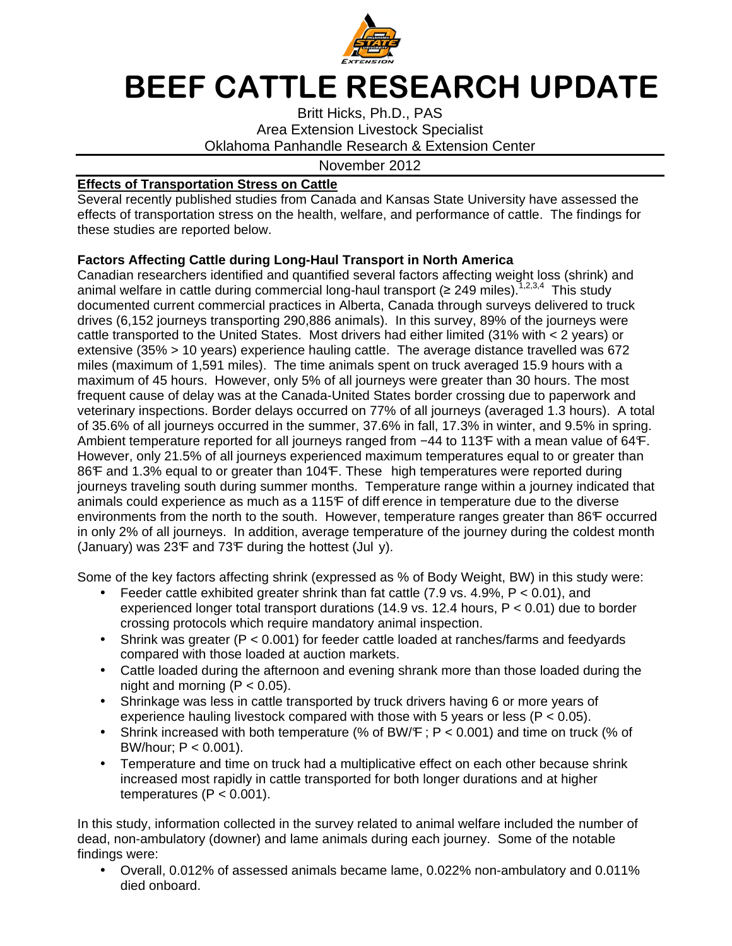

# BEEF CATTLE RESEARCH UPDATE

Britt Hicks, Ph.D., PAS Area Extension Livestock Specialist Oklahoma Panhandle Research & Extension Center

#### November 2012

## **Effects of Transportation Stress on Cattle**

Several recently published studies from Canada and Kansas State University have assessed the effects of transportation stress on the health, welfare, and performance of cattle. The findings for these studies are reported below.

## **Factors Affecting Cattle during Long-Haul Transport in North America**

Canadian researchers identified and quantified several factors affecting weight loss (shrink) and animal welfare in cattle during commercial long-haul transport ( $\geq 249$  miles).<sup>1,2,3,4</sup> This study documented current commercial practices in Alberta, Canada through surveys delivered to truck drives (6,152 journeys transporting 290,886 animals). In this survey, 89% of the journeys were cattle transported to the United States. Most drivers had either limited (31% with < 2 years) or extensive (35% > 10 years) experience hauling cattle. The average distance travelled was 672 miles (maximum of 1,591 miles). The time animals spent on truck averaged 15.9 hours with a maximum of 45 hours. However, only 5% of all journeys were greater than 30 hours. The most frequent cause of delay was at the Canada-United States border crossing due to paperwork and veterinary inspections. Border delays occurred on 77% of all journeys (averaged 1.3 hours). A total of 35.6% of all journeys occurred in the summer, 37.6% in fall, 17.3% in winter, and 9.5% in spring. Ambient temperature reported for all journeys ranged from  $-44$  to 113°F with a mean value of 64°F. However, only 21.5% of all journeys experienced maximum temperatures equal to or greater than 86F and 1.3% equal to or greater than 104F. These high temperatures were reported during journeys traveling south during summer months. Temperature range within a journey indicated that animals could experience as much as a 115°F of diff erence in temperature due to the diverse environments from the north to the south. However, temperature ranges greater than 86°F occurred in only 2% of all journeys. In addition, average temperature of the journey during the coldest month (January) was  $23F$  and  $73F$  during the hottest (Jul y).

Some of the key factors affecting shrink (expressed as % of Body Weight, BW) in this study were:

- Feeder cattle exhibited greater shrink than fat cattle  $(7.9 \text{ vs. } 4.9\% \text{ F} < 0.01)$ , and experienced longer total transport durations (14.9 vs. 12.4 hours,  $P < 0.01$ ) due to border crossing protocols which require mandatory animal inspection.
- Shrink was greater ( $P < 0.001$ ) for feeder cattle loaded at ranches/farms and feedyards compared with those loaded at auction markets.
- Cattle loaded during the afternoon and evening shrank more than those loaded during the night and morning  $(P < 0.05)$ .
- Shrinkage was less in cattle transported by truck drivers having 6 or more years of experience hauling livestock compared with those with 5 years or less ( $P < 0.05$ ).
- Shrink increased with both temperature (% of BW/ $F$ ; P < 0.001) and time on truck (% of BW/hour:  $P < 0.001$ ).
- Temperature and time on truck had a multiplicative effect on each other because shrink increased most rapidly in cattle transported for both longer durations and at higher temperatures  $(P < 0.001)$ .

In this study, information collected in the survey related to animal welfare included the number of dead, non-ambulatory (downer) and lame animals during each journey. Some of the notable findings were:

• Overall, 0.012% of assessed animals became lame, 0.022% non-ambulatory and 0.011% died onboard.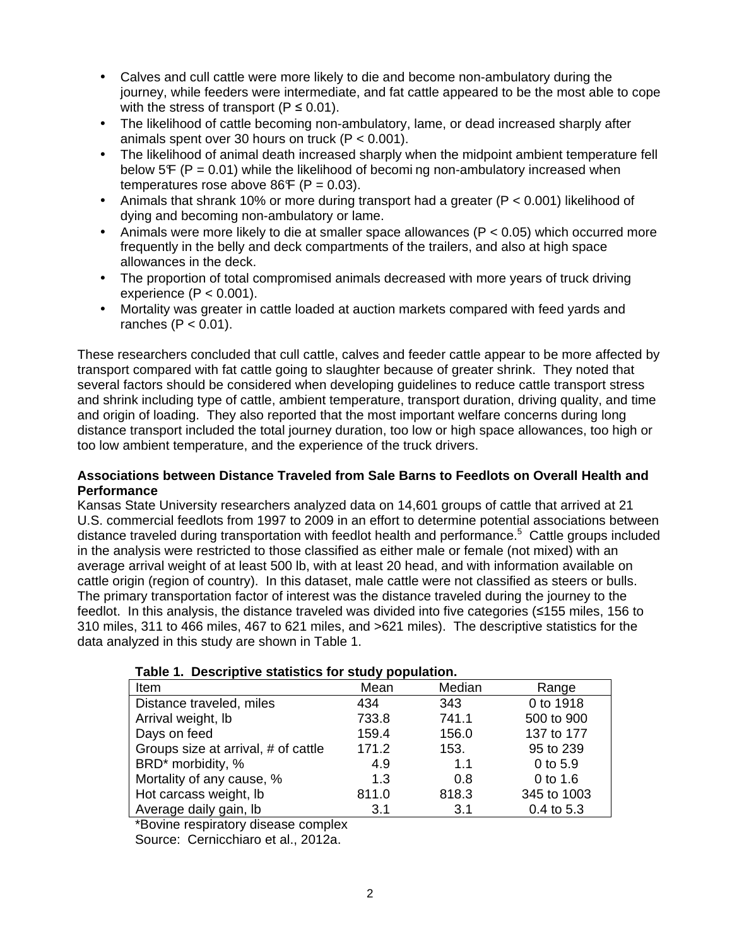- Calves and cull cattle were more likely to die and become non-ambulatory during the journey, while feeders were intermediate, and fat cattle appeared to be the most able to cope with the stress of transport ( $P \le 0.01$ ).
- The likelihood of cattle becoming non-ambulatory, lame, or dead increased sharply after animals spent over 30 hours on truck (P < 0.001).
- The likelihood of animal death increased sharply when the midpoint ambient temperature fell below 5 $F$  (P = 0.01) while the likelihood of becoming non-ambulatory increased when temperatures rose above  $86F$  (P = 0.03).
- Animals that shrank 10% or more during transport had a greater ( $P < 0.001$ ) likelihood of dying and becoming non-ambulatory or lame.
- Animals were more likely to die at smaller space allowances ( $P < 0.05$ ) which occurred more frequently in the belly and deck compartments of the trailers, and also at high space allowances in the deck.
- The proportion of total compromised animals decreased with more years of truck driving experience  $(P < 0.001)$ .
- Mortality was greater in cattle loaded at auction markets compared with feed yards and ranches  $(P < 0.01)$ .

These researchers concluded that cull cattle, calves and feeder cattle appear to be more affected by transport compared with fat cattle going to slaughter because of greater shrink. They noted that several factors should be considered when developing guidelines to reduce cattle transport stress and shrink including type of cattle, ambient temperature, transport duration, driving quality, and time and origin of loading. They also reported that the most important welfare concerns during long distance transport included the total journey duration, too low or high space allowances, too high or too low ambient temperature, and the experience of the truck drivers.

## **Associations between Distance Traveled from Sale Barns to Feedlots on Overall Health and Performance**

Kansas State University researchers analyzed data on 14,601 groups of cattle that arrived at 21 U.S. commercial feedlots from 1997 to 2009 in an effort to determine potential associations between distance traveled during transportation with feedlot health and performance.<sup>5</sup> Cattle groups included in the analysis were restricted to those classified as either male or female (not mixed) with an average arrival weight of at least 500 lb, with at least 20 head, and with information available on cattle origin (region of country). In this dataset, male cattle were not classified as steers or bulls. The primary transportation factor of interest was the distance traveled during the journey to the feedlot. In this analysis, the distance traveled was divided into five categories (≤155 miles, 156 to 310 miles, 311 to 466 miles, 467 to 621 miles, and >621 miles). The descriptive statistics for the data analyzed in this study are shown in Table 1.

| rable 1. Descriptive statistics for study population. |       |        |             |  |
|-------------------------------------------------------|-------|--------|-------------|--|
| Item                                                  | Mean  | Median | Range       |  |
| Distance traveled, miles                              | 434   | 343    | 0 to 1918   |  |
| Arrival weight, lb                                    | 733.8 | 741.1  | 500 to 900  |  |
| Days on feed                                          | 159.4 | 156.0  | 137 to 177  |  |
| Groups size at arrival, # of cattle                   | 171.2 | 153.   | 95 to 239   |  |
| BRD <sup>*</sup> morbidity, %                         | 4.9   | 1.1    | $0$ to 5.9  |  |
| Mortality of any cause, %                             | 1.3   | 0.8    | 0 to 1.6    |  |
| Hot carcass weight, lb                                | 811.0 | 818.3  | 345 to 1003 |  |
| Average daily gain, lb                                | 3.1   | 3.1    | 0.4 to 5.3  |  |

\*Bovine respiratory disease complex

Source: Cernicchiaro et al., 2012a.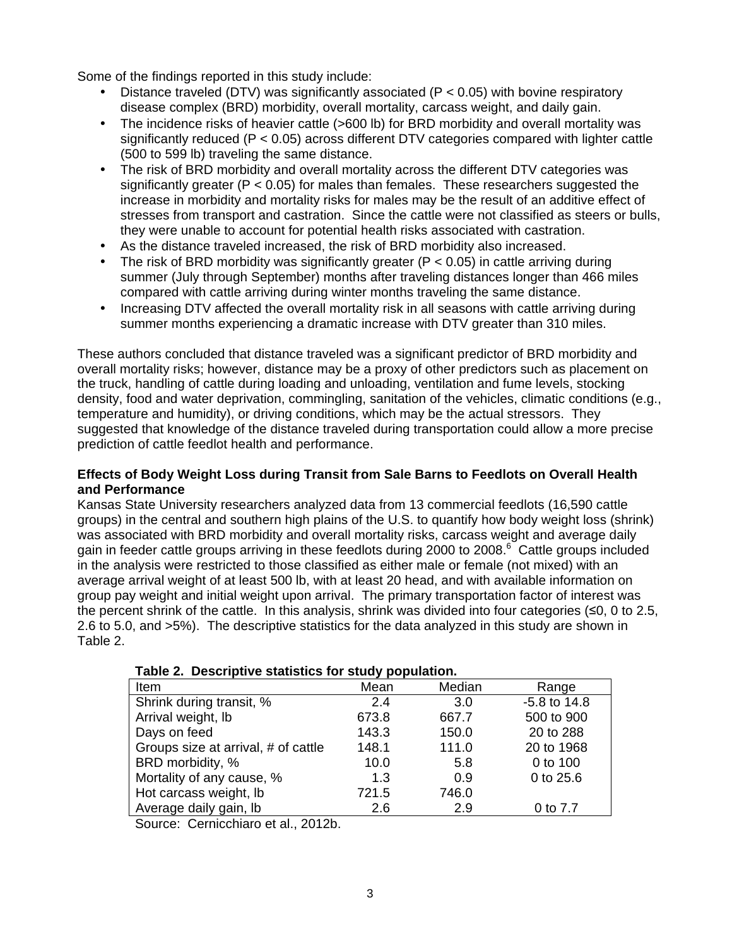Some of the findings reported in this study include:

- Distance traveled (DTV) was significantly associated ( $P < 0.05$ ) with bovine respiratory disease complex (BRD) morbidity, overall mortality, carcass weight, and daily gain.
- The incidence risks of heavier cattle (>600 lb) for BRD morbidity and overall mortality was significantly reduced (P < 0.05) across different DTV categories compared with lighter cattle (500 to 599 lb) traveling the same distance.
- The risk of BRD morbidity and overall mortality across the different DTV categories was significantly greater ( $P < 0.05$ ) for males than females. These researchers suggested the increase in morbidity and mortality risks for males may be the result of an additive effect of stresses from transport and castration. Since the cattle were not classified as steers or bulls, they were unable to account for potential health risks associated with castration.
- As the distance traveled increased, the risk of BRD morbidity also increased.
- The risk of BRD morbidity was significantly greater ( $P < 0.05$ ) in cattle arriving during summer (July through September) months after traveling distances longer than 466 miles compared with cattle arriving during winter months traveling the same distance.
- Increasing DTV affected the overall mortality risk in all seasons with cattle arriving during summer months experiencing a dramatic increase with DTV greater than 310 miles.

These authors concluded that distance traveled was a significant predictor of BRD morbidity and overall mortality risks; however, distance may be a proxy of other predictors such as placement on the truck, handling of cattle during loading and unloading, ventilation and fume levels, stocking density, food and water deprivation, commingling, sanitation of the vehicles, climatic conditions (e.g., temperature and humidity), or driving conditions, which may be the actual stressors. They suggested that knowledge of the distance traveled during transportation could allow a more precise prediction of cattle feedlot health and performance.

## **Effects of Body Weight Loss during Transit from Sale Barns to Feedlots on Overall Health and Performance**

Kansas State University researchers analyzed data from 13 commercial feedlots (16,590 cattle groups) in the central and southern high plains of the U.S. to quantify how body weight loss (shrink) was associated with BRD morbidity and overall mortality risks, carcass weight and average daily gain in feeder cattle groups arriving in these feedlots during 2000 to 2008.<sup>6</sup> Cattle groups included in the analysis were restricted to those classified as either male or female (not mixed) with an average arrival weight of at least 500 lb, with at least 20 head, and with available information on group pay weight and initial weight upon arrival. The primary transportation factor of interest was the percent shrink of the cattle. In this analysis, shrink was divided into four categories (≤0, 0 to 2.5, 2.6 to 5.0, and >5%). The descriptive statistics for the data analyzed in this study are shown in Table 2.

| Item                                | Mean  | Median | Range            |  |
|-------------------------------------|-------|--------|------------------|--|
| Shrink during transit, %            | 2.4   | 3.0    | $-5.8$ to $14.8$ |  |
| Arrival weight, lb                  | 673.8 | 667.7  | 500 to 900       |  |
| Days on feed                        | 143.3 | 150.0  | 20 to 288        |  |
| Groups size at arrival, # of cattle | 148.1 | 111.0  | 20 to 1968       |  |
| BRD morbidity, %                    | 10.0  | 5.8    | 0 to 100         |  |
| Mortality of any cause, %           | 1.3   | 0.9    | 0 to 25.6        |  |
| Hot carcass weight, lb              | 721.5 | 746.0  |                  |  |
| Average daily gain, Ib              | 2.6   | 2.9    | 0 to 7.7         |  |

| Table 2. Descriptive statistics for study population. |  |
|-------------------------------------------------------|--|
|-------------------------------------------------------|--|

Source: Cernicchiaro et al., 2012b.